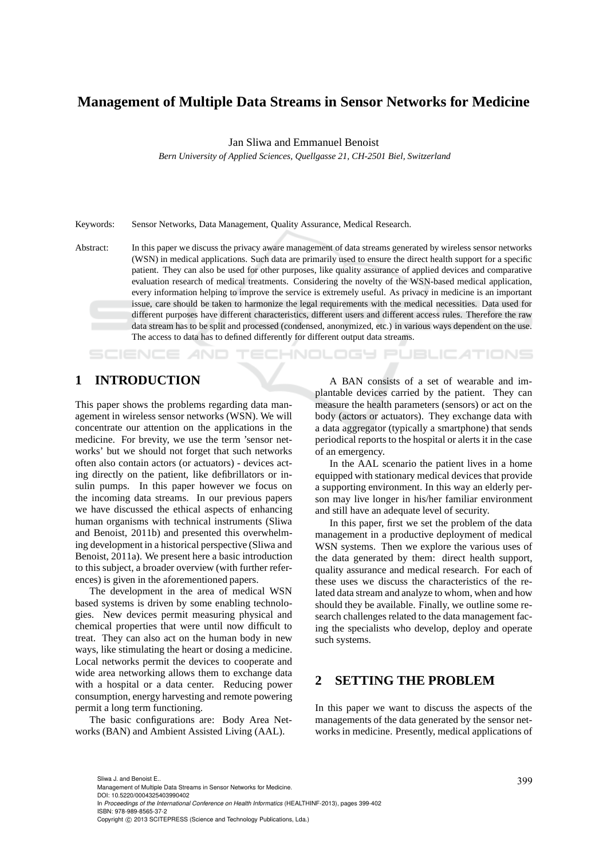# **Management of Multiple Data Streams in Sensor Networks for Medicine**

Jan Sliwa and Emmanuel Benoist

*Bern University of Applied Sciences, Quellgasse 21, CH-2501 Biel, Switzerland*

Keywords: Sensor Networks, Data Management, Quality Assurance, Medical Research.

Abstract: In this paper we discuss the privacy aware management of data streams generated by wireless sensor networks (WSN) in medical applications. Such data are primarily used to ensure the direct health support for a specific patient. They can also be used for other purposes, like quality assurance of applied devices and comparative evaluation research of medical treatments. Considering the novelty of the WSN-based medical application, every information helping to improve the service is extremely useful. As privacy in medicine is an important issue, care should be taken to harmonize the legal requirements with the medical necessities. Data used for different purposes have different characteristics, different users and different access rules. Therefore the raw data stream has to be split and processed (condensed, anonymized, etc.) in various ways dependent on the use. The access to data has to defined differently for different output data streams.

# **1 INTRODUCTION**

SCIENCE *A*ND

This paper shows the problems regarding data management in wireless sensor networks (WSN). We will concentrate our attention on the applications in the medicine. For brevity, we use the term 'sensor networks' but we should not forget that such networks often also contain actors (or actuators) - devices acting directly on the patient, like defibrillators or insulin pumps. In this paper however we focus on the incoming data streams. In our previous papers we have discussed the ethical aspects of enhancing human organisms with technical instruments (Sliwa and Benoist, 2011b) and presented this overwhelming development in a historical perspective (Sliwa and Benoist, 2011a). We present here a basic introduction to this subject, a broader overview (with further references) is given in the aforementioned papers.

The development in the area of medical WSN based systems is driven by some enabling technologies. New devices permit measuring physical and chemical properties that were until now difficult to treat. They can also act on the human body in new ways, like stimulating the heart or dosing a medicine. Local networks permit the devices to cooperate and wide area networking allows them to exchange data with a hospital or a data center. Reducing power consumption, energy harvesting and remote powering permit a long term functioning.

The basic configurations are: Body Area Networks (BAN) and Ambient Assisted Living (AAL).

A BAN consists of a set of wearable and implantable devices carried by the patient. They can measure the health parameters (sensors) or act on the body (actors or actuators). They exchange data with a data aggregator (typically a smartphone) that sends periodical reports to the hospital or alerts it in the case of an emergency.

'ECHNOLOGY PUBLICATIONS

In the AAL scenario the patient lives in a home equipped with stationary medical devices that provide a supporting environment. In this way an elderly person may live longer in his/her familiar environment and still have an adequate level of security.

In this paper, first we set the problem of the data management in a productive deployment of medical WSN systems. Then we explore the various uses of the data generated by them: direct health support, quality assurance and medical research. For each of these uses we discuss the characteristics of the related data stream and analyze to whom, when and how should they be available. Finally, we outline some research challenges related to the data management facing the specialists who develop, deploy and operate such systems.

## **2 SETTING THE PROBLEM**

In this paper we want to discuss the aspects of the managements of the data generated by the sensor networks in medicine. Presently, medical applications of

<sup>399</sup> Sliwa J. and Benoist E.. Management of Multiple Data Streams in Sensor Networks for Medicine. DOI: 10.5220/0004325403990402 In *Proceedings of the International Conference on Health Informatics* (HEALTHINF-2013), pages 399-402 ISBN: 978-989-8565-37-2 Copyright © 2013 SCITEPRESS (Science and Technology Publications, Lda.)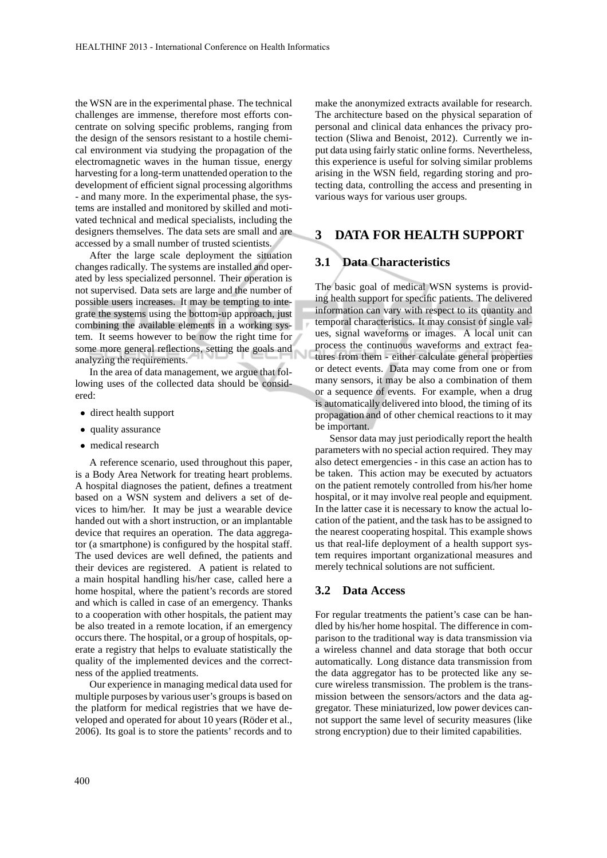the WSN are in the experimental phase. The technical challenges are immense, therefore most efforts concentrate on solving specific problems, ranging from the design of the sensors resistant to a hostile chemical environment via studying the propagation of the electromagnetic waves in the human tissue, energy harvesting for a long-term unattended operation to the development of efficient signal processing algorithms - and many more. In the experimental phase, the systems are installed and monitored by skilled and motivated technical and medical specialists, including the designers themselves. The data sets are small and are accessed by a small number of trusted scientists.

After the large scale deployment the situation changes radically. The systems are installed and operated by less specialized personnel. Their operation is not supervised. Data sets are large and the number of possible users increases. It may be tempting to integrate the systems using the bottom-up approach, just combining the available elements in a working system. It seems however to be now the right time for some more general reflections, setting the goals and analyzing the requirements.

In the area of data management, we argue that following uses of the collected data should be considered:

- direct health support
- quality assurance
- medical research

A reference scenario, used throughout this paper, is a Body Area Network for treating heart problems. A hospital diagnoses the patient, defines a treatment based on a WSN system and delivers a set of devices to him/her. It may be just a wearable device handed out with a short instruction, or an implantable device that requires an operation. The data aggregator (a smartphone) is configured by the hospital staff. The used devices are well defined, the patients and their devices are registered. A patient is related to a main hospital handling his/her case, called here a home hospital, where the patient's records are stored and which is called in case of an emergency. Thanks to a cooperation with other hospitals, the patient may be also treated in a remote location, if an emergency occurs there. The hospital, or a group of hospitals, operate a registry that helps to evaluate statistically the quality of the implemented devices and the correctness of the applied treatments.

Our experience in managing medical data used for multiple purposes by various user's groups is based on the platform for medical registries that we have developed and operated for about 10 years (Röder et al., 2006). Its goal is to store the patients' records and to

make the anonymized extracts available for research. The architecture based on the physical separation of personal and clinical data enhances the privacy protection (Sliwa and Benoist, 2012). Currently we input data using fairly static online forms. Nevertheless, this experience is useful for solving similar problems arising in the WSN field, regarding storing and protecting data, controlling the access and presenting in various ways for various user groups.

### **3 DATA FOR HEALTH SUPPORT**

### **3.1 Data Characteristics**

The basic goal of medical WSN systems is providing health support for specific patients. The delivered information can vary with respect to its quantity and temporal characteristics. It may consist of single values, signal waveforms or images. A local unit can process the continuous waveforms and extract features from them - either calculate general properties or detect events. Data may come from one or from many sensors, it may be also a combination of them or a sequence of events. For example, when a drug is automatically delivered into blood, the timing of its propagation and of other chemical reactions to it may be important.

Sensor data may just periodically report the health parameters with no special action required. They may also detect emergencies - in this case an action has to be taken. This action may be executed by actuators on the patient remotely controlled from his/her home hospital, or it may involve real people and equipment. In the latter case it is necessary to know the actual location of the patient, and the task has to be assigned to the nearest cooperating hospital. This example shows us that real-life deployment of a health support system requires important organizational measures and merely technical solutions are not sufficient.

#### **3.2 Data Access**

For regular treatments the patient's case can be handled by his/her home hospital. The difference in comparison to the traditional way is data transmission via a wireless channel and data storage that both occur automatically. Long distance data transmission from the data aggregator has to be protected like any secure wireless transmission. The problem is the transmission between the sensors/actors and the data aggregator. These miniaturized, low power devices cannot support the same level of security measures (like strong encryption) due to their limited capabilities.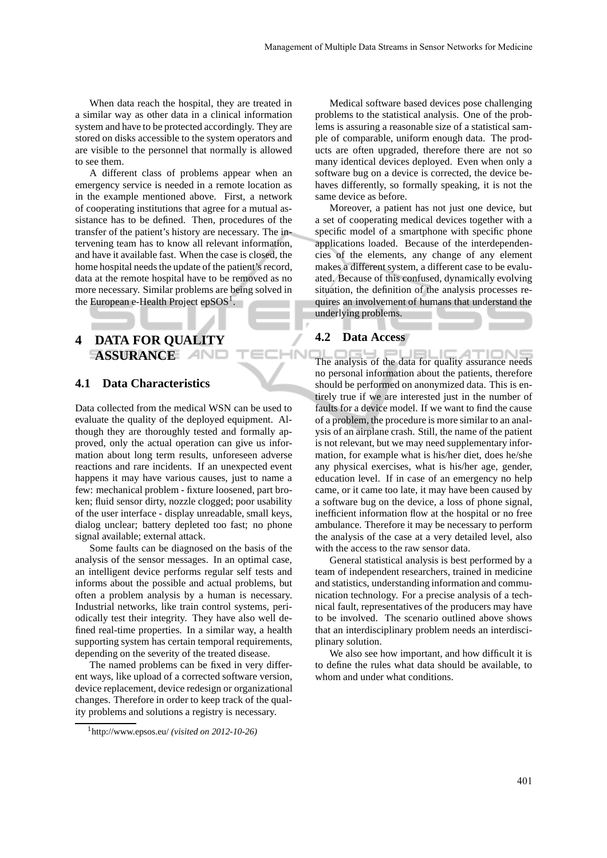When data reach the hospital, they are treated in a similar way as other data in a clinical information system and have to be protected accordingly. They are stored on disks accessible to the system operators and are visible to the personnel that normally is allowed to see them.

A different class of problems appear when an emergency service is needed in a remote location as in the example mentioned above. First, a network of cooperating institutions that agree for a mutual assistance has to be defined. Then, procedures of the transfer of the patient's history are necessary. The intervening team has to know all relevant information, and have it available fast. When the case is closed, the home hospital needs the update of the patient's record, data at the remote hospital have to be removed as no more necessary. Similar problems are being solved in the European e-Health Project ep $SOS<sup>1</sup>$ .

# **4 DATA FOR QUALITY ASSURANCE**

### **4.1 Data Characteristics**

Data collected from the medical WSN can be used to evaluate the quality of the deployed equipment. Although they are thoroughly tested and formally approved, only the actual operation can give us information about long term results, unforeseen adverse reactions and rare incidents. If an unexpected event happens it may have various causes, just to name a few: mechanical problem - fixture loosened, part broken; fluid sensor dirty, nozzle clogged; poor usability of the user interface - display unreadable, small keys, dialog unclear; battery depleted too fast; no phone signal available; external attack.

Some faults can be diagnosed on the basis of the analysis of the sensor messages. In an optimal case, an intelligent device performs regular self tests and informs about the possible and actual problems, but often a problem analysis by a human is necessary. Industrial networks, like train control systems, periodically test their integrity. They have also well defined real-time properties. In a similar way, a health supporting system has certain temporal requirements, depending on the severity of the treated disease.

The named problems can be fixed in very different ways, like upload of a corrected software version, device replacement, device redesign or organizational changes. Therefore in order to keep track of the quality problems and solutions a registry is necessary.

Medical software based devices pose challenging problems to the statistical analysis. One of the problems is assuring a reasonable size of a statistical sample of comparable, uniform enough data. The products are often upgraded, therefore there are not so many identical devices deployed. Even when only a software bug on a device is corrected, the device behaves differently, so formally speaking, it is not the same device as before.

Moreover, a patient has not just one device, but a set of cooperating medical devices together with a specific model of a smartphone with specific phone applications loaded. Because of the interdependencies of the elements, any change of any element makes a different system, a different case to be evaluated. Because of this confused, dynamically evolving situation, the definition of the analysis processes requires an involvement of humans that understand the underlying problems.

#### **4.2 Data Access**

**IHN** 

The analysis of the data for quality assurance needs  $\equiv$ **ATIONS** no personal information about the patients, therefore should be performed on anonymized data. This is entirely true if we are interested just in the number of faults for a device model. If we want to find the cause of a problem, the procedure is more similar to an analysis of an airplane crash. Still, the name of the patient is not relevant, but we may need supplementary information, for example what is his/her diet, does he/she any physical exercises, what is his/her age, gender, education level. If in case of an emergency no help came, or it came too late, it may have been caused by a software bug on the device, a loss of phone signal, inefficient information flow at the hospital or no free ambulance. Therefore it may be necessary to perform the analysis of the case at a very detailed level, also with the access to the raw sensor data.

General statistical analysis is best performed by a team of independent researchers, trained in medicine and statistics, understanding information and communication technology. For a precise analysis of a technical fault, representatives of the producers may have to be involved. The scenario outlined above shows that an interdisciplinary problem needs an interdisciplinary solution.

We also see how important, and how difficult it is to define the rules what data should be available, to whom and under what conditions.

<sup>1</sup>http://www.epsos.eu/ *(visited on 2012-10-26)*